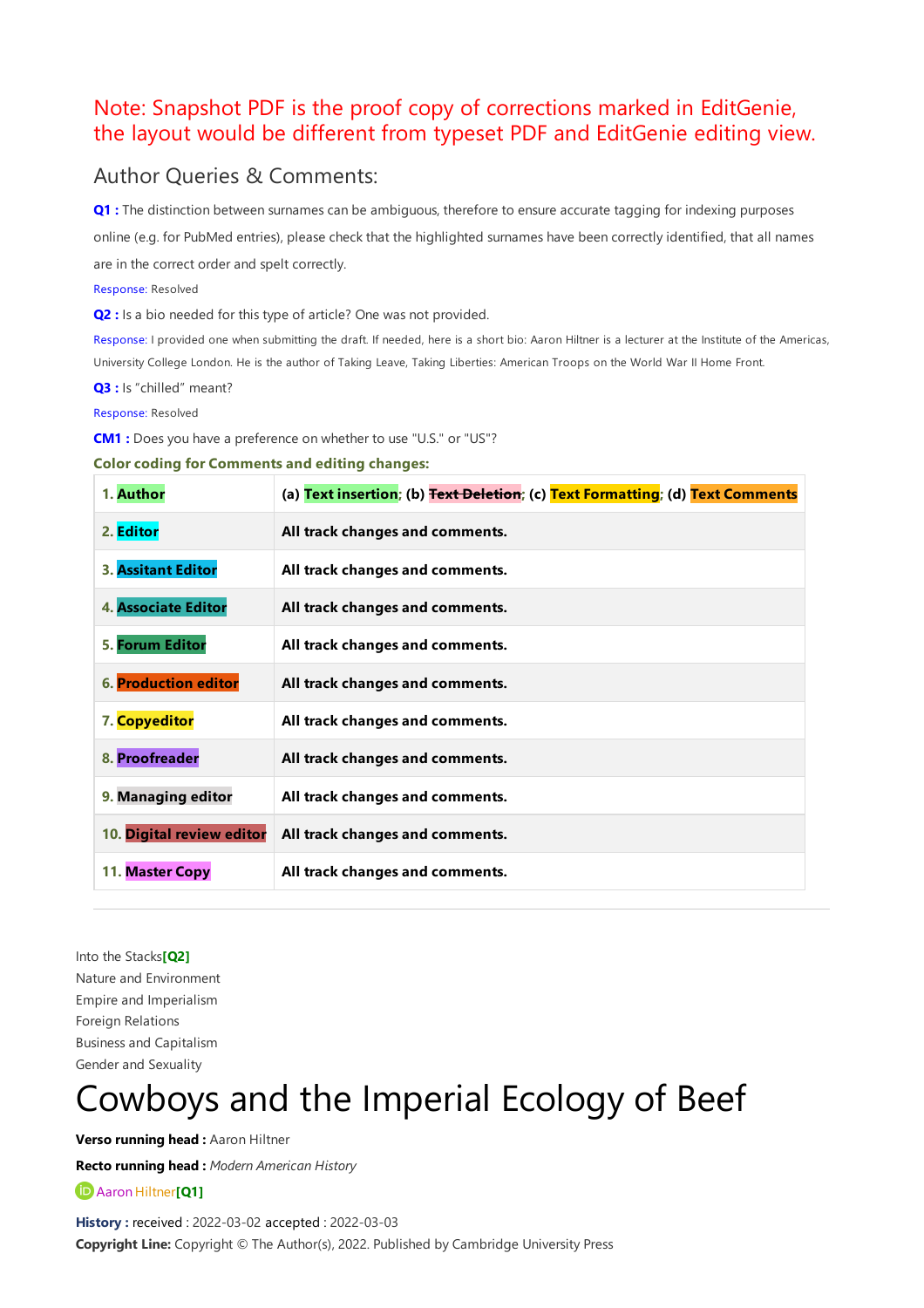# Note: Snapshot PDF is the proof copy of corrections marked in EditGenie, the layout would be different from typeset PDF and EditGenie editing view.

## Author Queries & Comments:

<span id="page-0-3"></span>**[Q1](#page-0-0) :** The distinction between surnames can be ambiguous, therefore to ensure accurate tagging for indexing purposes online (e.g. for PubMed entries), please checkthat the highlighted surnames have been correctly identified, that all names are in the correct order and spelt correctly.

Response: Resolved

<span id="page-0-2"></span>**[Q2](#page-0-1)** : Is a bio needed for this type of article? One was not provided.

Response: I provided one when submitting the draft. If needed, here is a short bio: Aaron Hiltner is a lecturer at the Institute of the Americas, University College London. He is the author of Taking Leave, Taking Liberties: American Troops on the World War II Home Front.

<span id="page-0-4"></span>**[Q3](#page-1-0) :** Is "chilled" meant?

Response: Resolved

<span id="page-0-5"></span>**[CM1](#page-3-0) :** Does you have a preference on whether to use "U.S." or "US"?

#### **Color coding for Comments and editing changes:**

| 1. Author                   | (a) Text insertion; (b) Text Deletion; (c) Text Formatting; (d) Text Comments |
|-----------------------------|-------------------------------------------------------------------------------|
| 2. Editor                   | All track changes and comments.                                               |
| <b>3. Assitant Editor</b>   | All track changes and comments.                                               |
| 4. Associate Editor         | All track changes and comments.                                               |
| 5. Forum Editor             | All track changes and comments.                                               |
| <b>6. Production editor</b> | All track changes and comments.                                               |
| 7. Copyeditor               | All track changes and comments.                                               |
| 8. Proofreader              | All track changes and comments.                                               |
| 9. Managing editor          | All track changes and comments.                                               |
| 10. Digital review editor   | All track changes and comments.                                               |
| 11. Master Copy             | All track changes and comments.                                               |

<span id="page-0-1"></span>Into the Stacks**[\[Q2\]](#page-0-2)** Nature and Environment Empire and Imperialism Foreign Relations Businessand Capitalism Gender and Sexuality

# Cowboys and the Imperial Ecology of Beef

**Verso running head :** Aaron Hiltner

**Recto running head :** *Modern American History*

<span id="page-0-0"></span> $\bullet$  Aaron Hiltner<sup>[[Q](#page-0-3)1]</sup>

**History :** received : 2022-03-02 accepted : 2022-03-03 **Copyright Line:** Copyright © The Author(s), 2022. Published by Cambridge University Press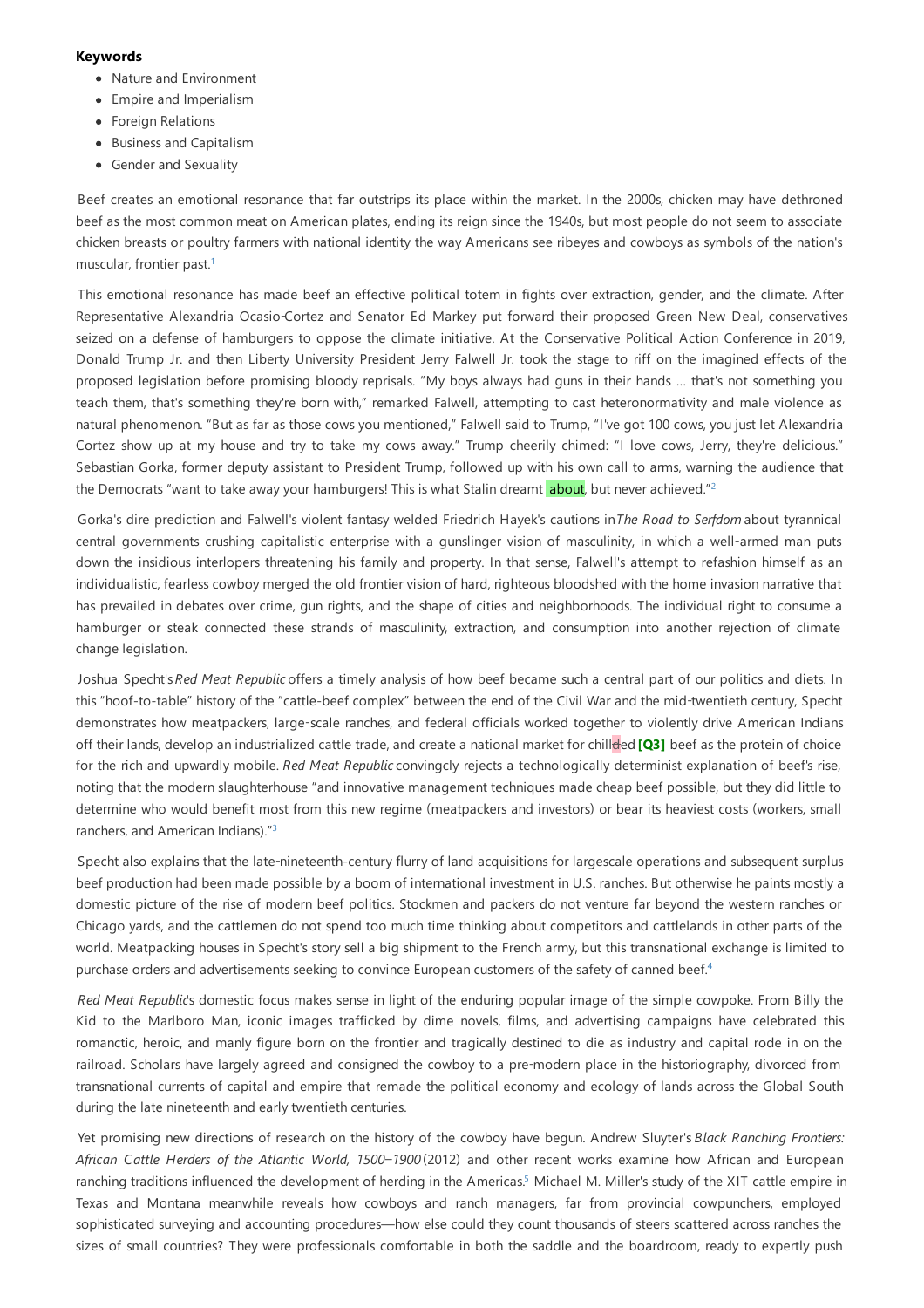#### **Keywords**

- Nature and Environment
- Empire and Imperialism
- **•** Foreign Relations
- Business and Capitalism
- Gender and Sexuality

Beef creates an emotional resonance that far outstrips its place within the market. In the 2000s, chicken may have dethroned beef as the most common meat on American plates, ending its reign since the 1940s, but most people do not seem to associate chicken breasts or poultry farmers with national identity the way Americans see ribeyes and cowboys as symbols of the nation's muscular, frontier past. [1](#page-4-0)

This emotional resonance has made beef an effective political totem in fights over extraction, gender, and the climate. After Representative Alexandria Ocasio-Cortez and Senator Ed Markey put forward their proposed Green New Deal, conservatives seized on a defense of hamburgers to oppose the climate initiative. At the Conservative Political Action Conference in 2019, Donald Trump Jr. and then Liberty University President Jerry Falwell Jr. took the stage to riff on the imagined effects of the proposed legislation before promising bloody reprisals. "My boys always had guns in their hands … that's not something you teach them, that's something they're born with," remarked Falwell, attempting to cast heteronormativity and male violence as natural phenomenon. "But as far as those cows you mentioned," Falwell said to Trump, "I've got 100 cows, you just let Alexandria Cortez show up at my house and try to take my cows away." Trump cheerily chimed: "I love cows, Jerry, they're delicious." Sebastian Gorka, former deputy assistant to President Trump, followed up with his own call to arms, warning the audience that the Democrats "want to take away your hamburgers! This is what Stalin dreamt <mark>about</mark>, but never achieved."<sup>[2](#page-4-1)</sup>

Gorka's dire prediction and Falwell's violent fantasy welded Friedrich Hayek's cautions in*The Road to Serfdom*about tyrannical central governments crushing capitalistic enterprise with a gunslinger vision of masculinity, in which a well-armed man puts down the insidious interlopers threatening his family and property. In that sense, Falwell's attempt to refashion himself as an individualistic, fearless cowboy merged the old frontier vision of hard, righteous bloodshed with the home invasion narrative that has prevailed in debates over crime, gun rights, and the shape of cities and neighborhoods. The individual right to consume a hamburger or steak connected these strands of masculinity, extraction, and consumption into another rejection of climate change legislation.

<span id="page-1-0"></span>Joshua Specht's*Red Meat Republic* offers a timely analysis of how beef became such a central part of our politics and diets. In this "hoof-to-table" history of the "cattle-beef complex" between the end of the Civil War and the mid-twentieth century, Specht demonstrates how meatpackers, large-scale ranches, and federal officials worked together to violently drive American Indians off their lands, develop an industrialized cattle trade, and create a national market for chillded [\[Q3\]](#page-0-4) beef as the protein of choice for the rich and upwardly mobile. *Red Meat Republic*convingcly rejects a technologically determinist explanation of beef's rise, noting that the modern slaughterhouse "and innovative management techniques made cheap beef possible, but they did little to determine who would benefit most from this new regime (meatpackers and investors) or bear its heaviest costs (workers, small ranchers, and American Indians)."<sup>[3](#page-4-2)</sup>

Specht also explains that the late-nineteenth-century flurry of land acquisitions for largescale operations and subsequent surplus beef production had been made possible by a boom of international investment in U.S. ranches. But otherwise he paints mostly a domestic picture of the rise of modern beef politics. Stockmen and packers do not venture far beyond the western ranches or Chicago yards, and the cattlemen do not spend too much time thinking about competitors and cattlelands in other parts of the world. Meatpacking houses in Specht's story sell a big shipment to the French army, but this transnational exchange is limited to purchase orders and advertisements seeking to convince European customers of the safety of canned beef.<sup>[4](#page-4-3)</sup>

*Red Meat Republic*'s domestic focus makes sense in light of the enduring popular image of the simple cowpoke. From Billy the Kid to the Marlboro Man, iconic images trafficked by dime novels, films, and advertising campaigns have celebrated this romanctic, heroic, and manly figure born on the frontier and tragically destined to die as industry and capital rode in on the railroad. Scholars have largely agreed and consigned the cowboy to a pre-modern place in the historiography, divorced from transnational currents of capital and empire that remade the political economy and ecology of lands across the Global South during the late nineteenth and early twentieth centuries.

Yet promising new directions of research on the history of the cowboy have begun. Andrew Sluyter's *Black Ranching Frontiers: African Cattle Herders of the Atlantic World, 1500–1900* (2012) and other recent works examine how African and European ranching traditions influenced the development of herding in the Americas.<sup>[5](#page-4-4)</sup> Michael M. Miller's study of the XIT cattle empire in Texas and Montana meanwhile reveals how cowboys and ranch managers, far from provincial cowpunchers, employed sophisticated surveying and accounting procedures—how else could they count thousands of steers scattered across ranches the sizes of small countries? They were professionals comfortable in both the saddle and the boardroom, ready to expertly push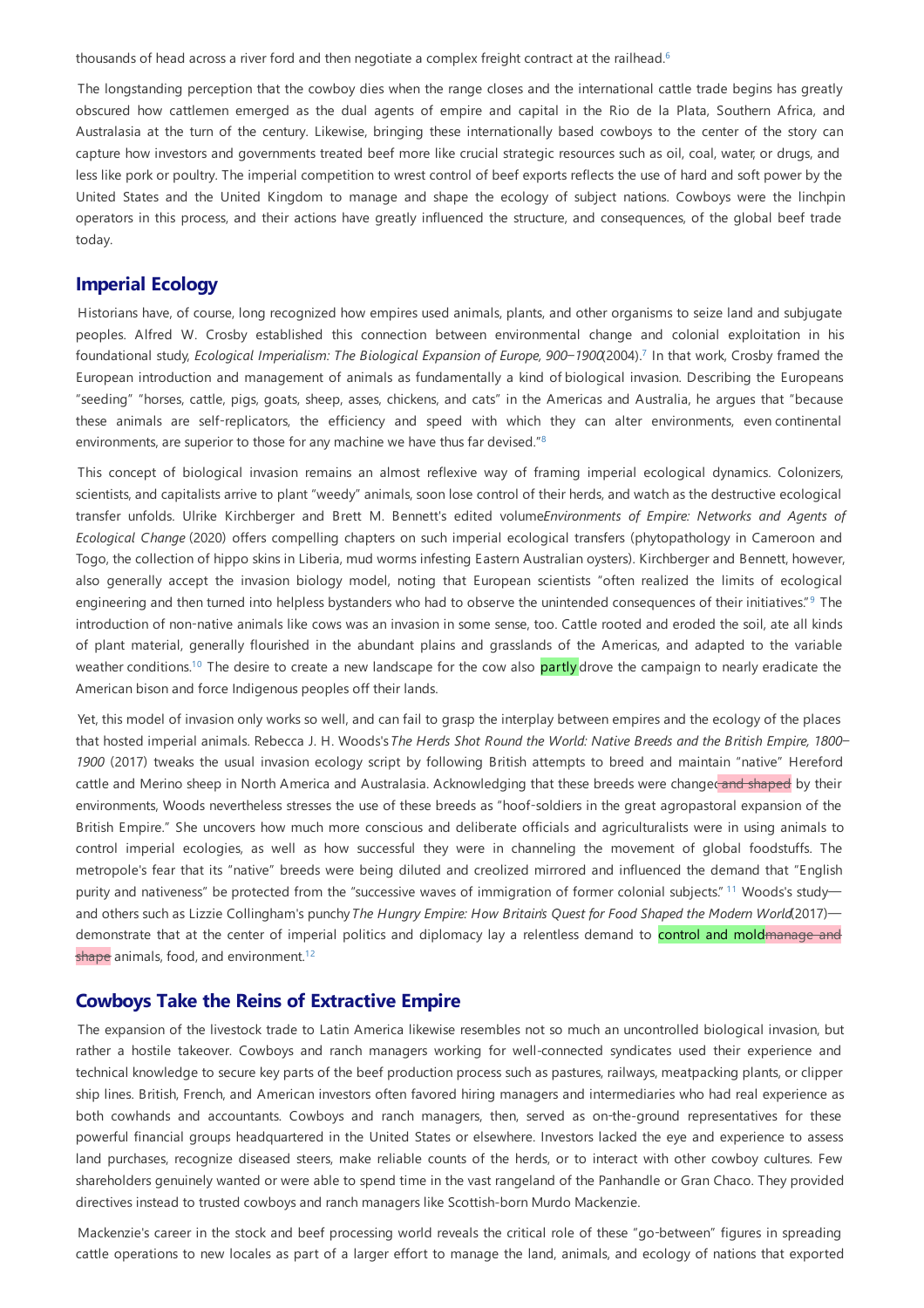thousands of head across a river ford and then negotiate a complex freight contract at the railhead.<sup>[6](#page-4-5)</sup>

The longstanding perception that the cowboy dies when the range closes and the international cattle trade begins has greatly obscured how cattlemen emerged as the dual agents of empire and capital in the Rio de la Plata, Southern Africa, and Australasia at the turn of the century. Likewise, bringing these internationally based cowboys to the center of the story can capture how investors and governments treated beef more like crucial strategic resources such as oil, coal, water, or drugs, and less like pork or poultry. The imperial competition to wrest control of beef exports reflects the use of hard and soft power by the United States and the United Kingdom to manage and shape the ecology of subject nations. Cowboys were the linchpin operators in this process, and their actions have greatly influenced the structure, and consequences, of the global beef trade today.

### **Imperial Ecology**

Historians have, of course, long recognized how empires used animals, plants, and other organisms to seize land and subjugate peoples. Alfred W. Crosby established this connection between environmental change and colonial exploitation in his foundational study, *Ecological Imperialism: The Biological Expansion of Europe, 900–1900*(2004). In that work, Crosby framed the [7](#page-4-6) European introduction and management of animals as fundamentally a kind of biological invasion. Describing the Europeans "seeding" "horses, cattle, pigs, goats, sheep, asses, chickens, and cats" in the Americas and Australia, he argues that "because these animals are self-replicators, the efficiency and speed with which they can alter environments, even continental environments, are superior to those for any machine we have thus far devised." $8$ 

This concept of biological invasion remains an almost reflexive way of framing imperial ecological dynamics. Colonizers, scientists, and capitalists arrive to plant "weedy" animals, soon lose control of their herds, and watch as the destructive ecological transfer unfolds. Ulrike Kirchberger and Brett M. Bennett's edited volume*Environments of Empire: Networks and Agents of Ecological Change* (2020) offers compelling chapters on such imperial ecological transfers (phytopathology in Cameroon and Togo, the collection of hippo skins in Liberia, mud worms infesting Eastern Australian oysters). Kirchberger and Bennett, however, also generally accept the invasion biology model, noting that European scientists "often realized the limits of ecological engineering and then turned into helpless bystanders who had to observe the unintended consequences of their initiatives."<sup>[9](#page-4-8)</sup> The introduction of non-native animals like cows was an invasion in some sense, too. Cattle rooted and eroded the soil, ate all kinds of plant material, generally flourished in the abundant plains and grasslands of the Americas, and adapted to the variable weather conditions.<sup>[10](#page-4-9)</sup> The desire to create a new landscape for the cow also <mark>partly</mark> drove the campaign to nearly eradicate the American bison and force Indigenous peoples off their lands.

Yet, this model of invasion only works so well, and can fail to grasp the interplay between empires and the ecology of the places that hosted imperial animals. Rebecca J. H. Woods's*The Herds Shot Round the World: Native Breeds and the British Empire, 1800– 1900* (2017) tweaks the usual invasion ecology script by following British attempts to breed and maintain "native" Hereford cattle and Merino sheep in North America and Australasia. Acknowledging that these breeds were changed and shaped by their environments, Woods nevertheless stresses the use of these breeds as "hoof-soldiers in the great agropastoral expansion of the British Empire." She uncovers how much more conscious and deliberate officials and agriculturalists were in using animals to control imperial ecologies, as well as how successful they were in channeling the movement of global foodstuffs. The metropole's fear that its "native" breeds were being diluted and creolized mirrored and influenced the demand that "English purity and nativeness" be protected from the "successive waves of immigration of former colonial subjects." <sup>[11](#page-4-10)</sup> Woods's study and others such as Lizzie Collingham's punchy*The Hungry Empire: How Britain's Quest for Food Shaped the Modern World*(2017) demonstrate that at the center of imperial politics and diplomacy lay a relentless demand to control and moldmanage and shape animals, food, and environment.<sup>[12](#page-4-11)</sup>

#### **Cowboys Take the Reins of Extractive Empire**

The expansion of the livestock trade to Latin America likewise resembles not so much an uncontrolled biological invasion, but rather a hostile takeover. Cowboys and ranch managers working for well-connected syndicates used their experience and technical knowledge to secure key parts of the beef production process such as pastures, railways, meatpacking plants, or clipper ship lines. British, French, and American investors often favored hiring managers and intermediaries who had real experience as both cowhands and accountants. Cowboys and ranch managers, then, served as on-the-ground representatives for these powerful financial groups headquartered in the United States or elsewhere. Investors lacked the eye and experience to assess land purchases, recognize diseased steers, make reliable counts of the herds, or to interact with other cowboy cultures. Few shareholders genuinely wanted or were able to spend time in the vast rangeland of the Panhandle or Gran Chaco. They provided directives instead to trusted cowboysand ranch managers like Scottish-born Murdo Mackenzie.

Mackenzie's career in the stock and beef processing world reveals the critical role of these "go-between" figures in spreading cattle operations to new locales as part of a larger effort to manage the land, animals, and ecology of nations that exported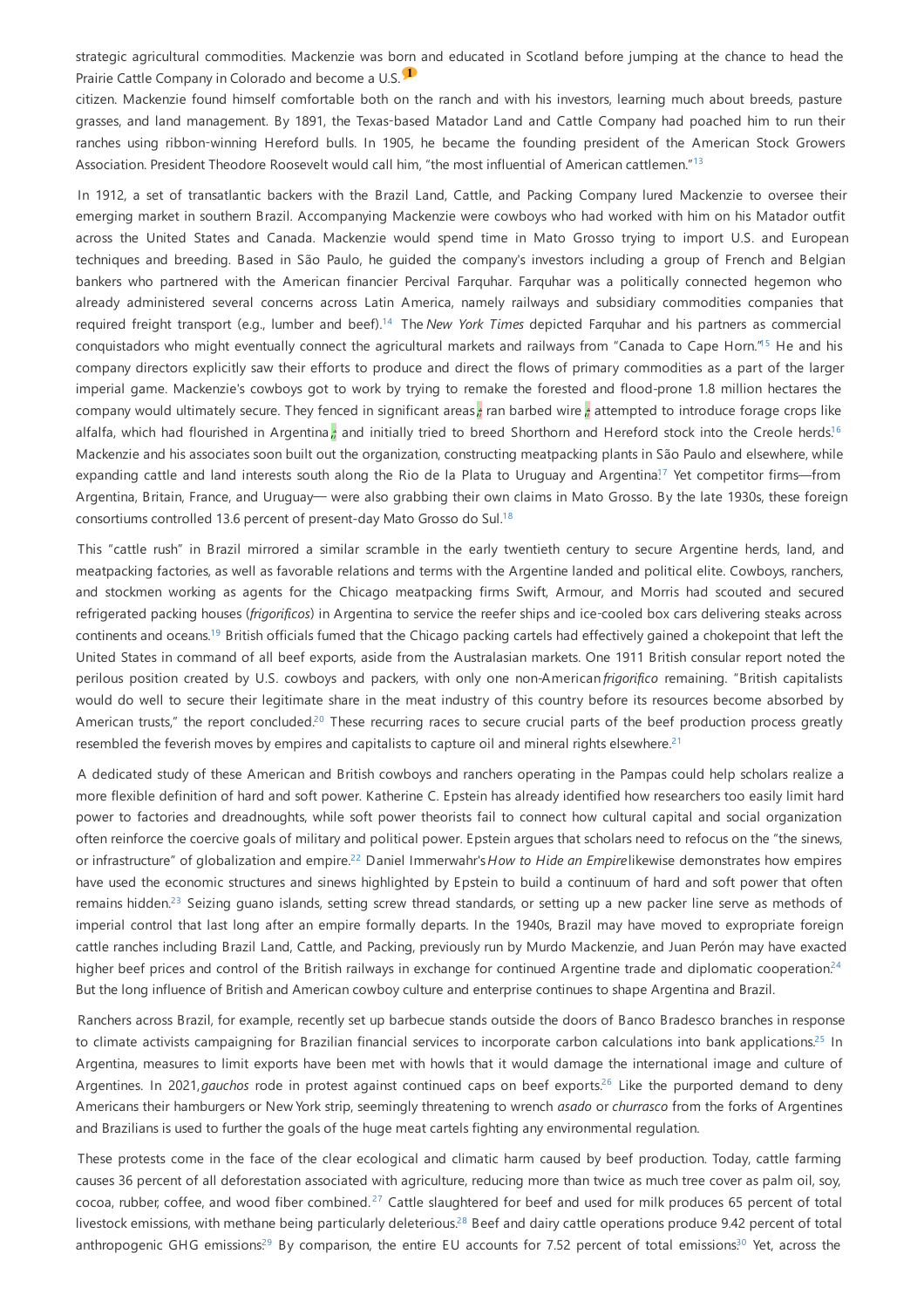<span id="page-3-0"></span>strategic agricultural commodities. Mackenzie was born and educated in Scotland before jumping at the chance to head the Prairie Cattle Company in Colorado and become a U.S. <sup>1</sup>

citizen. Mackenzie found himself comfortable both on the ranch and with his investors, learning much about breeds, pasture grasses, and land management. By 1891, the Texas-based Matador Land and Cattle Company had poached him to run their ranches using ribbon-winning Hereford bulls. In 1905, he became the founding president of the American Stock Growers Association. President Theodore Roosevelt would call him, "the most influential of American cattlemen."<sup>[13](#page-4-12)</sup>

In 1912, a set of transatlantic backers with the Brazil Land, Cattle, and Packing Company lured Mackenzie to oversee their emerging market in southern Brazil. Accompanying Mackenzie were cowboys who had worked with him on his Matador outfit across the United States and Canada. Mackenzie would spend time in Mato Grosso trying to import U.S. and European techniques and breeding. Based in São Paulo, he guided the company's investors including a group of French and Belgian bankers who partnered with the American financier Percival Farquhar. Farquhar was a politically connected hegemon who already administered several concerns across Latin America, namely railways and subsidiary commodities companies that required freight transport (e.g., lumber and beef).<sup>[14](#page-4-13)</sup> The *New York Times* depicted Farquhar and his partners as commercial conquistadors who might eventually connect the agricultural markets and railways from "Canada to Cape Horn."<sup>5</sup> He and his company directors explicitly saw their efforts to produce and direct the flows of primary commodities as a part of the larger imperial game. Mackenzie's cowboys got to work by trying to remake the forested and flood-prone 1.8 million hectares the company would ultimately secure. They fenced in significant areas, an barbed wire, attempted to introduce forage crops like alfalfa, which had flourished in Argentina<mark>,;</mark> and initially tried to breed Shorthorn and Hereford stock into the Creole herds.<sup>[16](#page-5-1)</sup> Mackenzie and his associates soon built out the organization, constructing meatpacking plants in São Paulo and elsewhere, while expanding cattle and land interests south along the Rio de la Plata to Uruguay and Argentina<sup>[17](#page-5-2)</sup> Yet competitor firms—from Argentina, Britain, France, and Uruguay— were also grabbing their own claims in Mato Grosso. By the late 1930s, these foreign consortiums controlled 13.6 percent of present-day Mato Grosso do Sul. [18](#page-5-3)

This "cattle rush" in Brazil mirrored a similar scramble in the early twentieth century to secure Argentine herds, land, and meatpacking factories, as well as favorable relations and terms with the Argentine landed and political elite. Cowboys, ranchers, and stockmen working as agents for the Chicago meatpacking firms Swift, Armour, and Morris had scouted and secured refrigerated packing houses (*frigorificos*) in Argentina to service the reefer ships and ice-cooled box cars delivering steaks across continents and oceans.<sup>[19](#page-5-4)</sup> British officials fumed that the Chicago packing cartels had effectively gained a chokepoint that left the United States in command of all beef exports, aside from the Australasian markets. One 1911 British consular report noted the perilous position created by U.S. cowboys and packers, with only one non-American *frigorifico* remaining. "British capitalists would do well to secure their legitimate share in the meat industry of this country before its resources become absorbed by American trusts," the report concluded.<sup>[20](#page-5-5)</sup> These recurring races to secure crucial parts of the beef production process greatly resembled the feverish moves by empires and capitalists to capture oil and mineral rights elsewhere.<sup>[21](#page-5-6)</sup>

A dedicated study of these American and British cowboys and ranchers operating in the Pampas could help scholars realize a more flexible definition of hard and soft power. Katherine C. Epstein has already identified how researchers too easily limit hard power to factories and dreadnoughts, while soft power theorists fail to connect how cultural capital and social organization often reinforce the coercive goals of military and political power. Epstein argues that scholars need to refocus on the "the sinews, or infrastructure" of globalization and empire.<sup>[22](#page-5-7)</sup> Daniel Immerwahr's How to Hide an Empirelikewise demonstrates how empires have used the economic structures and sinews highlighted by Epstein to build a continuum of hard and soft power that often remains hidden.<sup>[23](#page-5-8)</sup> Seizing guano islands, setting screw thread standards, or setting up a new packer line serve as methods of imperial control that last long after an empire formally departs. In the 1940s, Brazil may have moved to expropriate foreign cattle ranches including Brazil Land, Cattle, and Packing, previously run by Murdo Mackenzie, and Juan Perón may have exacted higher beef prices and control of the British railways in exchange for continued Argentine trade and diplomatic cooperation.<sup>[24](#page-5-9)</sup> But the long influence of British and American cowboy culture and enterprise continues to shape Argentina and Brazil.

Ranchers across Brazil, for example, recently set up barbecue stands outside the doors of Banco Bradesco branches in response to climate activists campaigning for Brazilian financial services to incorporate carbon calculations into bank applications.<sup>[25](#page-5-10)</sup> In Argentina, measures to limit exports have been met with howls that it would damage the international image and culture of Argentines. In 2021, gauchos rode in protest against continued caps on beef exports.<sup>[26](#page-5-11)</sup> Like the purported demand to deny Americans their hamburgers or New York strip, seemingly threatening to wrench *asado* or *churrasco* from the forks of Argentines and Brazilians is used to further the goals of the huge meat cartels fighting anyenvironmental regulation.

These protests come in the face of the clear ecological and climatic harm caused by beef production. Today, cattle farming causes 36 percent of all deforestation associated with agriculture, reducing more than twice as much tree cover as palm oil, soy,  $\csc$ oa, rubber, coffee, and wood fiber combined.<sup>[27](#page-5-12)</sup> Cattle slaughtered for beef and used for milk produces 65 percent of total livestock emissions, with methane being particularly deleterious.<sup>[28](#page-5-13)</sup> Beef and dairy cattle operations produce 9.42 percent of total anthropogenic GHG emissions<sup>[29](#page-5-14)</sup> By comparison, the entire EU accounts for 7.52 percent of total emissions<sup>[30](#page-5-15)</sup> Yet, across the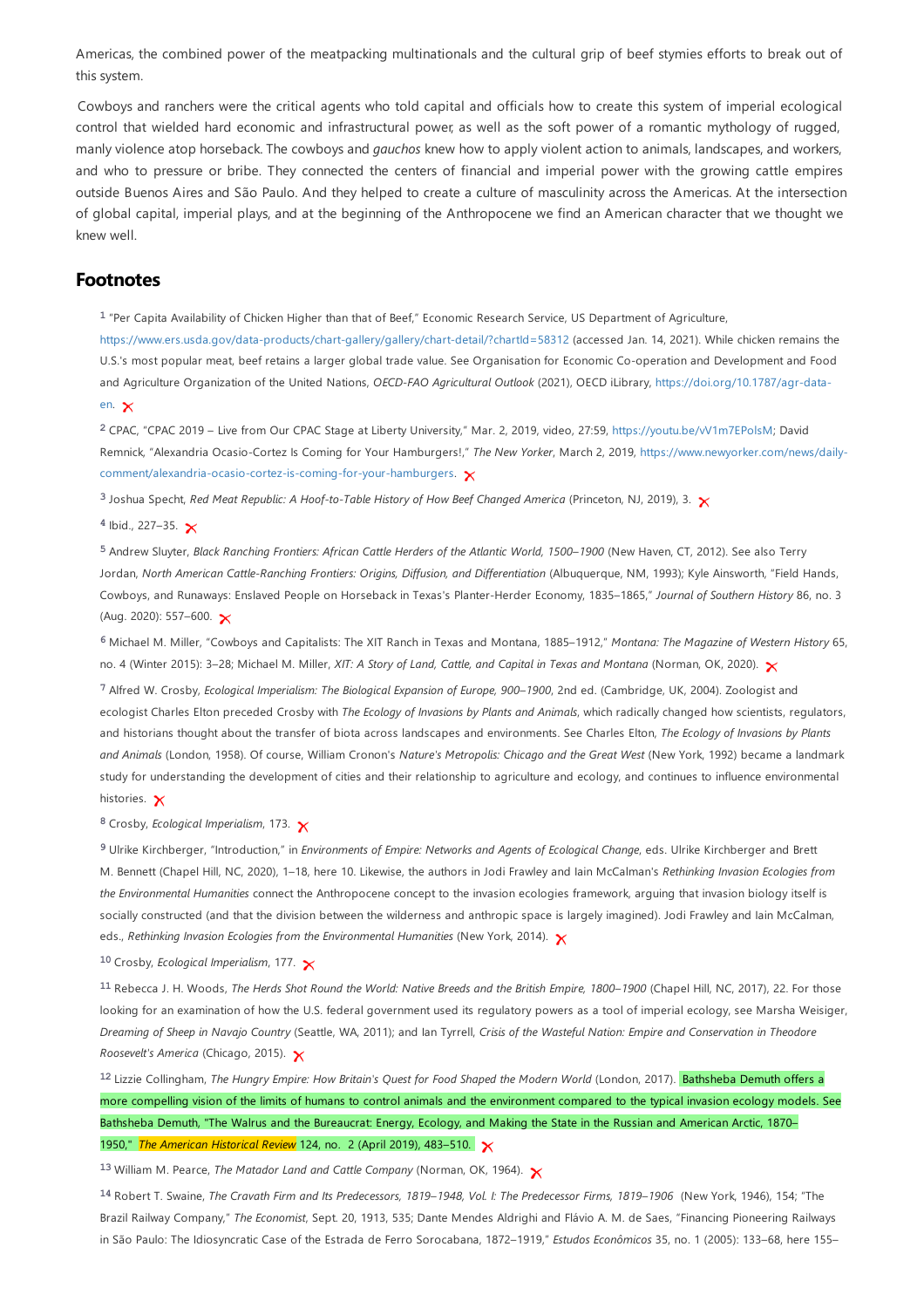Americas, the combined power of the meatpacking multinationals and the cultural grip of beef stymies efforts to break out of this system.

Cowboys and ranchers were the critical agents who told capital and officials how to create this system of imperial ecological control that wielded hard economic and infrastructural power, as well as the soft power of a romantic mythology of rugged, manly violence atop horseback.The cowboysand *gauchos* knew how to apply violent action to animals, landscapes, and workers, and who to pressure or bribe. They connected the centers of financial and imperial power with the growing cattle empires outside Buenos Aires and São Paulo. And they helped to create a culture of masculinity across the Americas. At the intersection of global capital, imperial plays, and at the beginning of the Anthropocene we find an American character that we thought we knew well.

### **Footnotes**

<span id="page-4-0"></span><sup>1</sup> "Per Capita Availability of Chicken Higher than that of Beef," Economic Research Service, US Department of Agriculture,

<https://www.ers.usda.gov/data-products/chart-gallery/gallery/chart-detail/?chartId=58312> (accessed Jan. 14, 2021). While chicken remains the U.S.'s most popular meat, beef retains a larger global trade value. See Organisation for Economic Co-operation and Development and Food and Agriculture Organization of the United Nations, *OECD-FAO Agricultural Outlook* (2021), OECD iLibrary, [https://doi.org/10.1787/agr-data](https://doi.org/10.1787/agr-data-en)en. X

<span id="page-4-1"></span>CPAC, "CPAC 2019 – Live from Our CPAC Stage at Liberty University," Mar. 2, 2019, video, 27:59, <https://youtu.be/vV1m7EPolsM>; David **2** Remnick, "Alexandria Ocasio-Cortez Is Coming for Your Hamburgers!," *The New Yorker*, March 2, 2019, https://www.newyorker.com/news/daily[comment/alexandria-ocasio-cortez-is-coming-for-your-hamburgers.](https://www.newyorker.com/news/daily-comment/alexandria-ocasio-cortez-is-coming-for-your-hamburgers)

<span id="page-4-2"></span>Joshua Specht, *Red Meat Republic: A Hoof-to-Table History of How Beef Changed America* (Princeton, NJ, 2019), 3. **3**

#### <span id="page-4-3"></span>Ibid., 227–35. **4**

<span id="page-4-4"></span>Andrew Sluyter, *Black Ranching Frontiers: African Cattle Herders of the Atlantic World, 1500–1900* (New Haven, CT, 2012). See also Terry **5** Jordan, *North American Cattle-Ranching Frontiers: Origins, Diffusion, and Differentiation* (Albuquerque, NM, 1993); Kyle Ainsworth, "Field Hands, Cowboys, and Runaways: Enslaved People on Horseback in Texas's Planter-Herder Economy, 1835–1865," *Journal of Southern History* 86, no. 3 (Aug. 2020): 557-600.  $\times$ 

<span id="page-4-5"></span>Michael M. Miller, "Cowboys and Capitalists: The XIT Ranch in Texas and Montana, 1885–1912," *Montana: The Magazine of Western History* 65, **6** no. 4 (Winter 2015): 3–28; Michael M. Miller, *XIT: A Story of Land, Cattle, and Capital in Texas and Montana* (Norman, OK, 2020).

<span id="page-4-6"></span>Alfred W. Crosby, *Ecological Imperialism: The Biological Expansion of Europe, 900–1900*, 2nd ed. (Cambridge, UK, 2004). Zoologist and **7** ecologist Charles Elton preceded Crosby with *The Ecology of Invasions by Plants and Animals*, which radically changed how scientists, regulators, and historians thought about the transfer of biota across landscapes and environments. See Charles Elton, *The Ecology of Invasions by Plants and Animals* (London, 1958). Of course, William Cronon's *Nature's Metropolis: Chicago and the Great West* (New York, 1992) became a landmark study for understanding the development of cities and their relationship to agriculture and ecology, and continues to influence environmental histories. **x** 

<span id="page-4-7"></span>Crosby, *Ecological Imperialism*, 173. **8**

<span id="page-4-8"></span>Ulrike Kirchberger, "Introduction," in *Environments of Empire: Networks and Agents of Ecological Change*, eds. Ulrike Kirchberger and Brett **9** M. Bennett (Chapel Hill, NC, 2020), 1–18, here 10. Likewise, the authors in Jodi Frawley and Iain McCalman's *Rethinking Invasion Ecologies from the Environmental Humanities* connect the Anthropocene concept to the invasion ecologies framework, arguing that invasion biology itself is socially constructed (and that the division between the wilderness and anthropic space is largely imagined). Jodi Frawley and Iain McCalman, eds., *Rethinking Invasion Ecologies from the Environmental Humanities* (New York, 2014).

<span id="page-4-9"></span>Crosby, *Ecological Imperialism*, 177. **10**

<span id="page-4-10"></span><sup>11</sup> Rebecca J. H. Woods, The Herds Shot Round the World: Native Breeds and the British Empire, 1800-1900 (Chapel Hill, NC, 2017), 22. For those looking for an examination of how the U.S. federal government used its regulatory powers as a tool of imperial ecology, see Marsha Weisiger, Dreaming of Sheep in Navajo Country (Seattle, WA, 2011); and lan Tyrrell, Crisis of the Wasteful Nation: Empire and Conservation in Theodore *Roosevelt's America* (Chicago, 2015).

<span id="page-4-11"></span>12 Lizzie Collingham, The Hungry Empire: How Britain's Quest for Food Shaped the Modern World (London, 2017). Bathsheba Demuth offers a more compelling vision of the limits of humans to control animals and the environment compared to the typical invasion ecology models. See Bathsheba Demuth, "The Walrus and the Bureaucrat: Energy, Ecology, and Making the State in the Russian and American Arctic, 1870– 1950," *The American Historical Review* 124, no. 2 (April 2019), 483–510.

<span id="page-4-12"></span>William M. Pearce, *The Matador Land and Cattle Company* (Norman, OK, 1964). **13**

<span id="page-4-13"></span><sup>14</sup> Robert T. Swaine, The Cravath Firm and Its Predecessors, 1819–1948, Vol. I: The Predecessor Firms, 1819–1906 (New York, 1946), 154; "The Brazil Railway Company," *The Economist*, Sept. 20, 1913, 535; Dante Mendes Aldrighi and Flávio A. M. de Saes, "Financing Pioneering Railways in São Paulo: The Idiosyncratic Case of the Estrada de Ferro Sorocabana, 1872–1919," *Estudos Econômicos* 35, no. 1 (2005): 133–68, here 155–